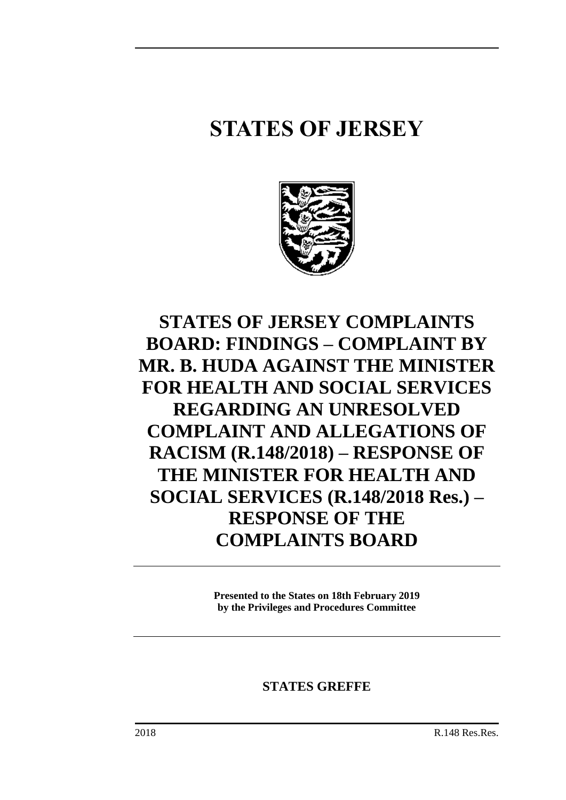# **STATES OF JERSEY**



**STATES OF JERSEY COMPLAINTS BOARD: FINDINGS – COMPLAINT BY MR. B. HUDA AGAINST THE MINISTER FOR HEALTH AND SOCIAL SERVICES REGARDING AN UNRESOLVED COMPLAINT AND ALLEGATIONS OF RACISM (R.148/2018) – RESPONSE OF THE MINISTER FOR HEALTH AND SOCIAL SERVICES (R.148/2018 Res.) – RESPONSE OF THE COMPLAINTS BOARD**

> **Presented to the States on 18th February 2019 by the Privileges and Procedures Committee**

# **STATES GREFFE**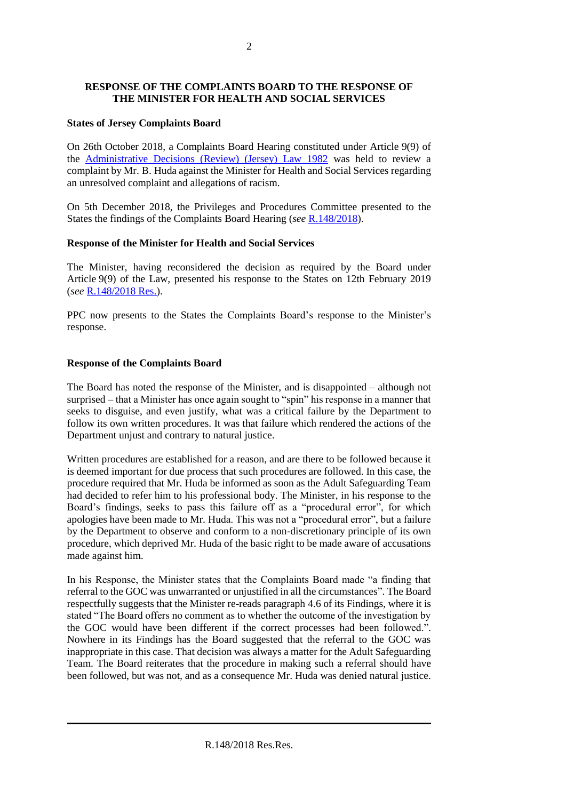# **RESPONSE OF THE COMPLAINTS BOARD TO THE RESPONSE OF THE MINISTER FOR HEALTH AND SOCIAL SERVICES**

#### **States of Jersey Complaints Board**

On 26th October 2018, a Complaints Board Hearing constituted under Article 9(9) of the [Administrative Decisions \(Review\) \(Jersey\) Law 1982](https://www.jerseylaw.je/laws/revised/Pages/16.025.aspx) was held to review a complaint by Mr. B. Huda against the Minister for Health and Social Services regarding an unresolved complaint and allegations of racism.

On 5th December 2018, the Privileges and Procedures Committee presented to the States the findings of the Complaints Board Hearing (*see* [R.148/2018\)](https://statesassembly.gov.je/assemblyreports/2018/r.148-2018.pdf).

# **Response of the Minister for Health and Social Services**

The Minister, having reconsidered the decision as required by the Board under Article 9(9) of the Law, presented his response to the States on 12th February 2019 (*see* [R.148/2018](https://statesassembly.gov.je/assemblyreports/2018/r.148-2018res.pdf) Res.).

PPC now presents to the States the Complaints Board's response to the Minister's response.

# **Response of the Complaints Board**

The Board has noted the response of the Minister, and is disappointed – although not surprised – that a Minister has once again sought to "spin" his response in a manner that seeks to disguise, and even justify, what was a critical failure by the Department to follow its own written procedures. It was that failure which rendered the actions of the Department unjust and contrary to natural justice.

Written procedures are established for a reason, and are there to be followed because it is deemed important for due process that such procedures are followed. In this case, the procedure required that Mr. Huda be informed as soon as the Adult Safeguarding Team had decided to refer him to his professional body. The Minister, in his response to the Board's findings, seeks to pass this failure off as a "procedural error", for which apologies have been made to Mr. Huda. This was not a "procedural error", but a failure by the Department to observe and conform to a non-discretionary principle of its own procedure, which deprived Mr. Huda of the basic right to be made aware of accusations made against him.

In his Response, the Minister states that the Complaints Board made "a finding that referral to the GOC was unwarranted or unjustified in all the circumstances". The Board respectfully suggests that the Minister re-reads paragraph 4.6 of its Findings, where it is stated "The Board offers no comment as to whether the outcome of the investigation by the GOC would have been different if the correct processes had been followed.". Nowhere in its Findings has the Board suggested that the referral to the GOC was inappropriate in this case. That decision was always a matter for the Adult Safeguarding Team. The Board reiterates that the procedure in making such a referral should have been followed, but was not, and as a consequence Mr. Huda was denied natural justice.